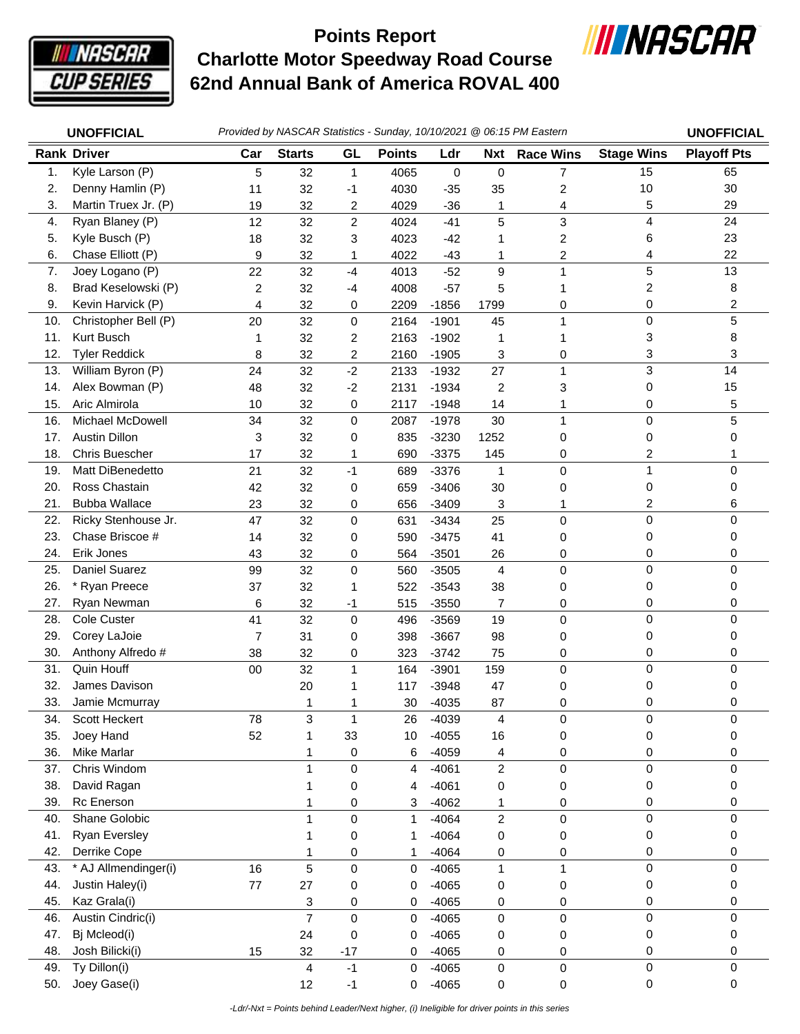

## **Charlotte Motor Speedway Road Course 62nd Annual Bank of America ROVAL 400 Points Report**



|     | <b>UNOFFICIAL</b>       | Provided by NASCAR Statistics - Sunday, 10/10/2021 @ 06:15 PM Eastern |                |                |               |             |                |                  | <b>UNOFFICIAL</b> |                    |
|-----|-------------------------|-----------------------------------------------------------------------|----------------|----------------|---------------|-------------|----------------|------------------|-------------------|--------------------|
|     | <b>Rank Driver</b>      | Car                                                                   | <b>Starts</b>  | GL             | <b>Points</b> | Ldr         | <b>Nxt</b>     | <b>Race Wins</b> | <b>Stage Wins</b> | <b>Playoff Pts</b> |
| 1.  | Kyle Larson (P)         | 5                                                                     | 32             | 1              | 4065          | $\mathbf 0$ | 0              | 7                | 15                | 65                 |
| 2.  | Denny Hamlin (P)        | 11                                                                    | 32             | -1             | 4030          | $-35$       | 35             | 2                | 10                | 30                 |
| 3.  | Martin Truex Jr. (P)    | 19                                                                    | 32             | 2              | 4029          | $-36$       | 1              | 4                | 5                 | 29                 |
| 4.  | Ryan Blaney (P)         | 12                                                                    | 32             | $\overline{c}$ | 4024          | $-41$       | 5              | 3                | 4                 | 24                 |
| 5.  | Kyle Busch (P)          | 18                                                                    | 32             | 3              | 4023          | $-42$       | 1              | 2                | 6                 | 23                 |
| 6.  | Chase Elliott (P)       | 9                                                                     | 32             | 1              | 4022          | $-43$       | 1              | 2                | 4                 | 22                 |
| 7.  | Joey Logano (P)         | 22                                                                    | 32             | $-4$           | 4013          | $-52$       | 9              | 1                | 5                 | 13                 |
| 8.  | Brad Keselowski (P)     | 2                                                                     | 32             | -4             | 4008          | $-57$       | 5              |                  | 2                 | 8                  |
| 9.  | Kevin Harvick (P)       | 4                                                                     | 32             | 0              | 2209          | $-1856$     | 1799           | 0                | 0                 | 2                  |
| 10. | Christopher Bell (P)    | 20                                                                    | 32             | 0              | 2164          | $-1901$     | 45             | 1                | 0                 | 5                  |
| 11. | Kurt Busch              | 1                                                                     | 32             | 2              | 2163          | $-1902$     | 1              |                  | 3                 | 8                  |
| 12. | <b>Tyler Reddick</b>    | 8                                                                     | 32             | 2              | 2160          | $-1905$     | 3              | 0                | 3                 | 3                  |
| 13. | William Byron (P)       | 24                                                                    | 32             | $-2$           | 2133          | $-1932$     | 27             | 1                | 3                 | 14                 |
| 14. | Alex Bowman (P)         | 48                                                                    | 32             | $-2$           | 2131          | $-1934$     | $\overline{c}$ | 3                | 0                 | 15                 |
| 15. | Aric Almirola           | 10                                                                    | 32             | 0              | 2117          | $-1948$     | 14             | 1                | 0                 | 5                  |
| 16. | <b>Michael McDowell</b> | 34                                                                    | 32             | 0              | 2087          | $-1978$     | 30             | 1                | 0                 | 5                  |
| 17. | <b>Austin Dillon</b>    | 3                                                                     | 32             | 0              | 835           | $-3230$     | 1252           | 0                | 0                 | 0                  |
| 18. | <b>Chris Buescher</b>   | 17                                                                    | 32             | 1              | 690           | $-3375$     | 145            | 0                | 2                 | 1                  |
| 19. | Matt DiBenedetto        | 21                                                                    | 32             | $-1$           | 689           | $-3376$     | 1              | 0                | $\mathbf{1}$      | $\Omega$           |
| 20. | Ross Chastain           | 42                                                                    | 32             | 0              | 659           | $-3406$     | 30             | 0                | 0                 | 0                  |
| 21. | <b>Bubba Wallace</b>    | 23                                                                    | 32             | 0              | 656           | $-3409$     | 3              | 1                | 2                 | 6                  |
| 22. | Ricky Stenhouse Jr.     | 47                                                                    | 32             | 0              | 631           | $-3434$     | 25             | $\mathbf 0$      | 0                 | 0                  |
| 23. | Chase Briscoe #         | 14                                                                    | 32             | 0              | 590           | $-3475$     | 41             | 0                | 0                 | 0                  |
| 24. | Erik Jones              | 43                                                                    | 32             | 0              | 564           | $-3501$     | 26             | 0                | 0                 | 0                  |
| 25. | Daniel Suarez           | 99                                                                    | 32             | 0              | 560           | $-3505$     | $\overline{4}$ | 0                | 0                 | 0                  |
| 26. | * Ryan Preece           | 37                                                                    | 32             | 1              | 522           | $-3543$     | 38             | 0                | 0                 | 0                  |
| 27. | Ryan Newman             | 6                                                                     | 32             | -1             | 515           | $-3550$     | 7              | 0                | 0                 | 0                  |
| 28. | <b>Cole Custer</b>      | 41                                                                    | 32             | $\mathbf 0$    | 496           | $-3569$     | 19             | 0                | 0                 | $\Omega$           |
| 29. | Corey LaJoie            | $\overline{7}$                                                        | 31             | 0              | 398           | $-3667$     | 98             | 0                | 0                 | 0                  |
| 30. | Anthony Alfredo #       | 38                                                                    | 32             | 0              | 323           | $-3742$     | 75             | 0                | 0                 | 0                  |
| 31. | Quin Houff              | 00                                                                    | 32             | 1              | 164           | $-3901$     | 159            | $\pmb{0}$        | 0                 | 0                  |
| 32. | James Davison           |                                                                       | 20             |                | 117           | $-3948$     | 47             | 0                | 0                 | 0                  |
| 33. | Jamie Mcmurray          |                                                                       | 1              | 1              | 30            | $-4035$     | 87             | 0                | 0                 | 0                  |
| 34. | Scott Heckert           | 78                                                                    | 3              | 1              | 26            | $-4039$     | 4              | 0                | 0                 | 0                  |
| 35. | Joey Hand               | 52                                                                    | 1              | 33             | 10            | $-4055$     | 16             | $\pmb{0}$        | 0                 | 0                  |
| 36. | Mike Marlar             |                                                                       | 1              | 0              | 6             | $-4059$     | 4              | 0                | 0                 | 0                  |
| 37. | Chris Windom            |                                                                       | $\mathbf{1}$   | 0              | 4             | $-4061$     | $\overline{2}$ | 0                | 0                 | 0                  |
| 38. | David Ragan             |                                                                       | 1              | 0              | 4             | $-4061$     | 0              | 0                | 0                 | 0                  |
| 39. | Rc Enerson              |                                                                       |                | 0              | 3             | $-4062$     | 1              | 0                | 0                 | 0                  |
| 40. | Shane Golobic           |                                                                       | 1              | $\mathbf 0$    | 1             | $-4064$     | $\overline{2}$ | $\mathsf 0$      | 0                 | 0                  |
| 41. | <b>Ryan Eversley</b>    |                                                                       | 1              | 0              |               | $-4064$     | 0              | 0                | 0                 | 0                  |
| 42. | Derrike Cope            |                                                                       | 1              | 0              | 1             | $-4064$     | 0              | 0                | 0                 | 0                  |
| 43. | * AJ Allmendinger(i)    | 16                                                                    | 5              | $\mathsf 0$    | 0             | $-4065$     | $\mathbf{1}$   | 1                | 0                 | $\mathbf 0$        |
| 44. | Justin Haley(i)         | $77 \,$                                                               | 27             | 0              | 0             | $-4065$     | 0              | 0                | 0                 | 0                  |
| 45. | Kaz Grala(i)            |                                                                       | 3              | 0              | 0             | $-4065$     | 0              | 0                | 0                 | 0                  |
| 46. | Austin Cindric(i)       |                                                                       | $\overline{7}$ | 0              | 0             | $-4065$     | 0              | $\mathsf 0$      | 0                 | 0                  |
| 47. | Bj Mcleod(i)            |                                                                       | 24             | 0              | 0             | $-4065$     | 0              | 0                | 0                 | 0                  |
| 48. | Josh Bilicki(i)         | 15                                                                    | 32             | $-17$          | 0             | $-4065$     | 0              | 0                | 0                 | 0                  |
| 49. | Ty Dillon(i)            |                                                                       | 4              | $-1$           | 0             | $-4065$     | $\mathsf 0$    | $\mathsf 0$      | 0                 | 0                  |
| 50. | Joey Gase(i)            |                                                                       | 12             | $-1$           | $\mathbf 0$   | $-4065$     | 0              | 0                | 0                 | 0                  |